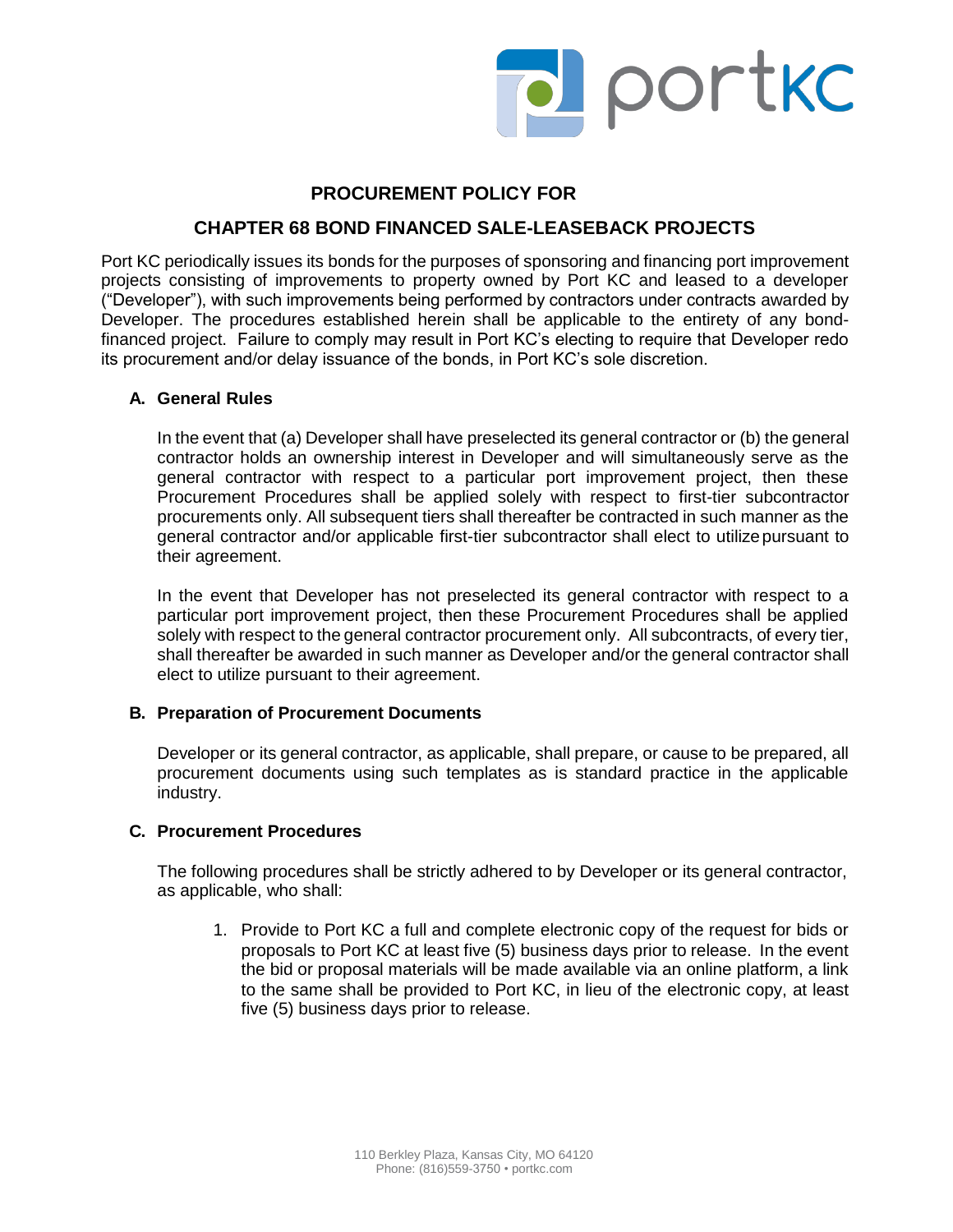

## **PROCUREMENT POLICY FOR**

## **CHAPTER 68 BOND FINANCED SALE-LEASEBACK PROJECTS**

Port KC periodically issues its bonds for the purposes of sponsoring and financing port improvement projects consisting of improvements to property owned by Port KC and leased to a developer ("Developer"), with such improvements being performed by contractors under contracts awarded by Developer. The procedures established herein shall be applicable to the entirety of any bondfinanced project. Failure to comply may result in Port KC's electing to require that Developer redo its procurement and/or delay issuance of the bonds, in Port KC's sole discretion.

### **A. General Rules**

In the event that (a) Developer shall have preselected its general contractor or (b) the general contractor holds an ownership interest in Developer and will simultaneously serve as the general contractor with respect to a particular port improvement project, then these Procurement Procedures shall be applied solely with respect to first-tier subcontractor procurements only. All subsequent tiers shall thereafter be contracted in such manner as the general contractor and/or applicable first-tier subcontractor shall elect to utilizepursuant to their agreement.

In the event that Developer has not preselected its general contractor with respect to a particular port improvement project, then these Procurement Procedures shall be applied solely with respect to the general contractor procurement only. All subcontracts, of every tier, shall thereafter be awarded in such manner as Developer and/or the general contractor shall elect to utilize pursuant to their agreement.

### **B. Preparation of Procurement Documents**

Developer or its general contractor, as applicable, shall prepare, or cause to be prepared, all procurement documents using such templates as is standard practice in the applicable industry.

#### **C. Procurement Procedures**

The following procedures shall be strictly adhered to by Developer or its general contractor, as applicable, who shall:

1. Provide to Port KC a full and complete electronic copy of the request for bids or proposals to Port KC at least five (5) business days prior to release. In the event the bid or proposal materials will be made available via an online platform, a link to the same shall be provided to Port KC, in lieu of the electronic copy, at least five (5) business days prior to release.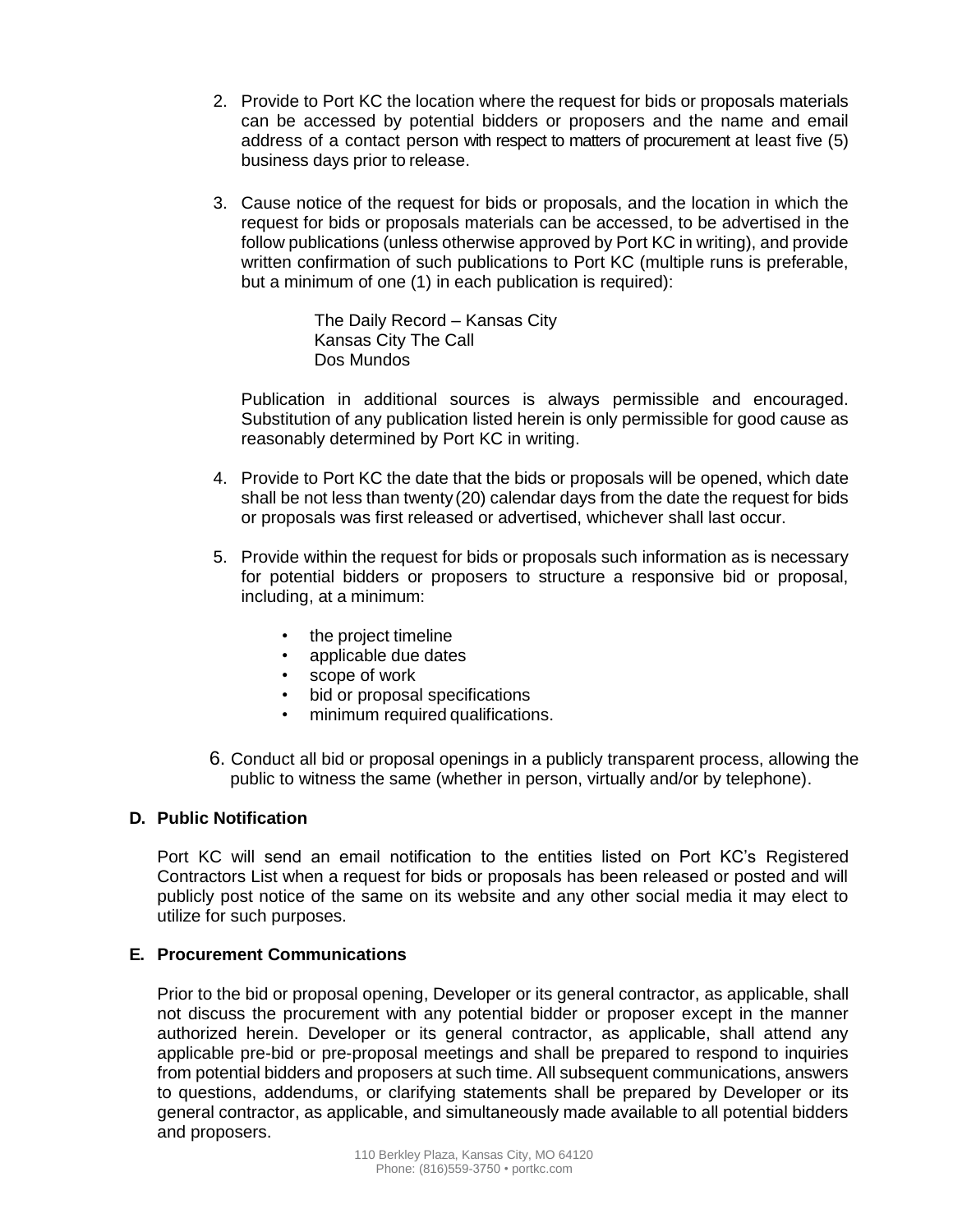- 2. Provide to Port KC the location where the request for bids or proposals materials can be accessed by potential bidders or proposers and the name and email address of a contact person with respect to matters of procurement at least five (5) business days prior to release.
- 3. Cause notice of the request for bids or proposals, and the location in which the request for bids or proposals materials can be accessed, to be advertised in the follow publications (unless otherwise approved by Port KC in writing), and provide written confirmation of such publications to Port KC (multiple runs is preferable, but a minimum of one (1) in each publication is required):

The Daily Record – Kansas City Kansas City The Call Dos Mundos

Publication in additional sources is always permissible and encouraged. Substitution of any publication listed herein is only permissible for good cause as reasonably determined by Port KC in writing.

- 4. Provide to Port KC the date that the bids or proposals will be opened, which date shall be not less than twenty (20) calendar days from the date the request for bids or proposals was first released or advertised, whichever shall last occur.
- 5. Provide within the request for bids or proposals such information as is necessary for potential bidders or proposers to structure a responsive bid or proposal, including, at a minimum:
	- the project timeline
	- applicable due dates
	- scope of work
	- bid or proposal specifications
	- minimum required qualifications.
- 6. Conduct all bid or proposal openings in a publicly transparent process, allowing the public to witness the same (whether in person, virtually and/or by telephone).

# **D. Public Notification**

Port KC will send an email notification to the entities listed on Port KC's Registered Contractors List when a request for bids or proposals has been released or posted and will publicly post notice of the same on its website and any other social media it may elect to utilize for such purposes.

## **E. Procurement Communications**

Prior to the bid or proposal opening, Developer or its general contractor, as applicable, shall not discuss the procurement with any potential bidder or proposer except in the manner authorized herein. Developer or its general contractor, as applicable, shall attend any applicable pre-bid or pre-proposal meetings and shall be prepared to respond to inquiries from potential bidders and proposers at such time. All subsequent communications, answers to questions, addendums, or clarifying statements shall be prepared by Developer or its general contractor, as applicable, and simultaneously made available to all potential bidders and proposers.